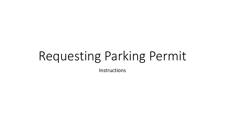# Requesting Parking Permit

Instructions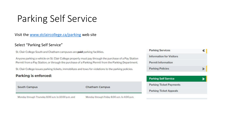### Parking Self Service

#### Visit the [www.stclaircollege.ca/parking](http://www.stclaircollege.ca/parking) web site

#### Select "Parking Self Service"

St. Clair College South and Chatham campuses are paid parking facilities.

Anyone parking a vehicle on St. Clair College property must pay through the purchase of a Pay Station Permit from a Pay Station, or through the purchase of a Parking Permit from the Parking Department.

St. Clair College issues parking tickets, immobilizes and tows for violations to the parking policies.

#### **Parking is enforced:**

| <b>South Campus</b>                                 | <b>Chatham Campus</b>                        | <b>Parking Ticket Payments</b> |  |  |
|-----------------------------------------------------|----------------------------------------------|--------------------------------|--|--|
|                                                     |                                              | <b>Parking Ticket Appeals</b>  |  |  |
| Monday through Thursday 8:00 a.m. to 10:00 p.m. and | Monday through Friday 8:00 a.m. to 4:00 p.m. |                                |  |  |



**Parking Self Service**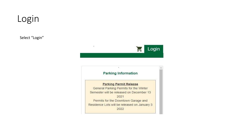### Login

Select "Login"



#### **Parking Information**

 $\mathcal{C}_\mathcal{C}$ 

 $\mathbf{r}$ 

#### **Parking Permit Release**

General Parking Permits for the Winter Semester will be released on December 13 2021 Permits for the Downtown Garage and Residence Lots will be released on January 3 2022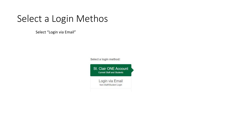### Select a Login Methos

Select "Login via Email"

Select a login method:

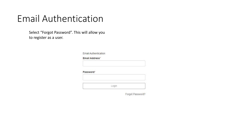#### Email Authentication

Select "Forgot Password". This will allow you to register as a user.

Email Authentication

Email Address\*

Password\*

Login

Forgot Password?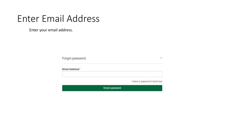#### Enter Email Address

Enter your email address.

Forgot password

 $\mathcal{H}$ 

Email Address\*

I have a password reset key

Reset password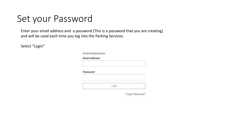### Set your Password

Enter your email address and a password (This is a password that you are creating) and will be used each time you log into the Parking Services.

Select "Login"

| <b>Email Authentication</b> |       |  |
|-----------------------------|-------|--|
| Email Address*              |       |  |
|                             |       |  |
|                             |       |  |
|                             |       |  |
|                             |       |  |
|                             |       |  |
|                             |       |  |
| Password*                   | Login |  |

Forgot Password?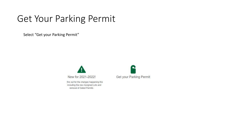### Get Your Parking Permit

Select "Get your Parking Permit"



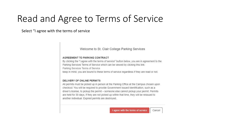### Read and Agree to Terms of Service

Select "I agree with the terms of service

Welcome to St. Clair College Parking Services

#### AGREEMENT TO PARKING CONTRACT

By clicking the "I agree with the terms of service" button below, you are in agreement to the Parking Services Terms of Service which can be viewed by clicking this link: Parking Services Terms of Service keep in mind, you are bound to these terms of service regardless if they are read or not.

#### DELIVERY OF ONLINE PERMITS

All permits must be picked up in person at the Parking Office at the Campus chosen upon checkout. You will be required to provide Government Issued Identification, such as a driver's license, to pickup the permit - someone else cannot pickup your permit. Permits are held for 30 days, if they are not picked up within that time, they will be reissued to another individual. Expired permits are destroyed.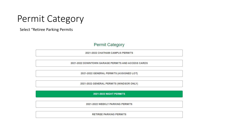#### Permit Category

Select "Retiree Parking Permits

#### **Permit Category**

2021-2022 CHATHAM CAMPUS PERMITS

2021-2022 DOWNTOWN GARAGE PERMITS AND ACCESS CARDS

2021-2022 GENERAL PERMITS (ASSIGNED LOT)

2021-2022 GENERAL PERMITS (WINDSOR ONLY)

2021-2022 NIGHT PERMITS

2021-2022 WEEKLY PARKING PERMITS

**RETIREE PARKING PERMITS**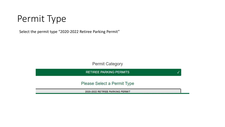### Permit Type

Select the permit type "2020-2022 Retiree Parking Permit"

Permit Category

**RETIREE PARKING PERMITS** 

Please Select a Permit Type

2020-2022 RETIREE PARKING PERMIT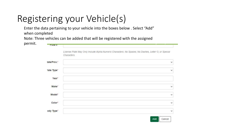## Registering your Vehicle(s)

Enter the data pertaining to your vehicle into the boxes below . Select "Add" when completed

Note: Three vehicles can be added that will be registered with the assigned

| License Plate May Only Include Alpha-Numeric Characters. No Spaces, No Dashes, Letter O, or Special<br>Characters.<br>tate/Prov.*<br>late Type*<br>Year® | $\checkmark$<br>$\checkmark$ |
|----------------------------------------------------------------------------------------------------------------------------------------------------------|------------------------------|
|                                                                                                                                                          |                              |
|                                                                                                                                                          |                              |
|                                                                                                                                                          |                              |
|                                                                                                                                                          |                              |
| Make*                                                                                                                                                    | $\checkmark$                 |
| Model*                                                                                                                                                   | $\checkmark$                 |
| Color*                                                                                                                                                   | $\checkmark$                 |
| ody Type*                                                                                                                                                | $\checkmark$                 |
|                                                                                                                                                          | Add                          |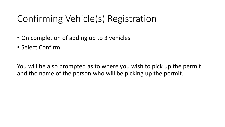### Confirming Vehicle(s) Registration

- On completion of adding up to 3 vehicles
- Select Confirm

You will be also prompted as to where you wish to pick up the permit and the name of the person who will be picking up the permit.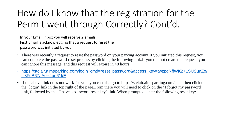### How do I know that the registration for the Permit went through Correctly? Cont'd.

In your Email Inbox you will receive 2 emails. First Email is acknowledging that a request to reset the password was initiated by you.

- There was recently a request to reset the password on your parking account. If you initiated this request, you can complete the password reset process by clicking the following link.If you did not create this request, you can ignore this message, and this request will expire in 48 hours.
- [https://stclair.aimsparking.com/login?cmd=reset\\_password&access\\_key=twzpgNffWK2+1SUSunZo/](https://stclair.aimsparking.com/login?cmd=reset_password&access_key=twzpgNffWK2+1SUSunZo/cl8FqB67aAeY4uu61kE) [cl8FqB67aAeY4uu61kE](https://stclair.aimsparking.com/login?cmd=reset_password&access_key=twzpgNffWK2+1SUSunZo/cl8FqB67aAeY4uu61kE)
- If the above link does not work for you, you can also go to https://stclair.aimsparking.com/, and then click on the "login" link in the top right of the page.From there you will need to click on the "I forgot my password" link, followed by the "I have a password reset key" link. When prompted, enter the following reset key: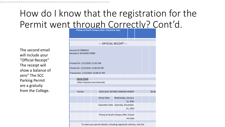#### How do I know that the registration for the Permit went through Correctly? Cont'd. **Pickup at South Campus after 3 business days**

The second email will include your "Official Receipt" The receipt will show a balance of zero" The SCC Parking Permit are a gratuity from the College.

| --- OFFICIAL RECEIPT ---                                              |  |  |  |                                                  |                                    |                    |          |  |  |        |
|-----------------------------------------------------------------------|--|--|--|--------------------------------------------------|------------------------------------|--------------------|----------|--|--|--------|
|                                                                       |  |  |  |                                                  |                                    |                    |          |  |  |        |
| Account #: 0000624                                                    |  |  |  |                                                  |                                    |                    |          |  |  |        |
| Receipt #: W21646U73000                                               |  |  |  |                                                  |                                    |                    |          |  |  |        |
|                                                                       |  |  |  |                                                  |                                    |                    |          |  |  |        |
|                                                                       |  |  |  |                                                  |                                    |                    |          |  |  |        |
| Printed On: 1/12/2022 12:01 PM                                        |  |  |  |                                                  |                                    |                    |          |  |  |        |
| Posted On: 1/12/2022 12:00:20 PM                                      |  |  |  |                                                  |                                    |                    |          |  |  |        |
| Transaction: 1/12/2022 12:00:31 PM                                    |  |  |  |                                                  |                                    |                    |          |  |  |        |
|                                                                       |  |  |  |                                                  |                                    |                    |          |  |  |        |
| <b>Items Paid:</b>                                                    |  |  |  |                                                  |                                    |                    |          |  |  |        |
| Other Payment (via Internet):                                         |  |  |  |                                                  |                                    |                    |          |  |  |        |
|                                                                       |  |  |  |                                                  |                                    |                    |          |  |  |        |
|                                                                       |  |  |  |                                                  |                                    |                    |          |  |  |        |
| Permit:                                                               |  |  |  | 2020-2022 RETIREE PARKING PERMIT                 |                                    |                    |          |  |  | \$0.00 |
|                                                                       |  |  |  | <b>Active Date:</b>                              |                                    |                    |          |  |  |        |
|                                                                       |  |  |  |                                                  |                                    | Wednesday, January |          |  |  |        |
|                                                                       |  |  |  |                                                  |                                    |                    | 12, 2022 |  |  |        |
|                                                                       |  |  |  |                                                  | Expiration Date Saturday, December |                    |          |  |  |        |
|                                                                       |  |  |  |                                                  |                                    |                    | 31, 2022 |  |  |        |
|                                                                       |  |  |  |                                                  |                                    |                    |          |  |  |        |
|                                                                       |  |  |  | Pickup at South Campus after 3 busin<br>ess days |                                    |                    |          |  |  |        |
|                                                                       |  |  |  |                                                  |                                    |                    |          |  |  |        |
| To view your permit details, including registered vehicles, visit the |  |  |  |                                                  |                                    |                    |          |  |  |        |